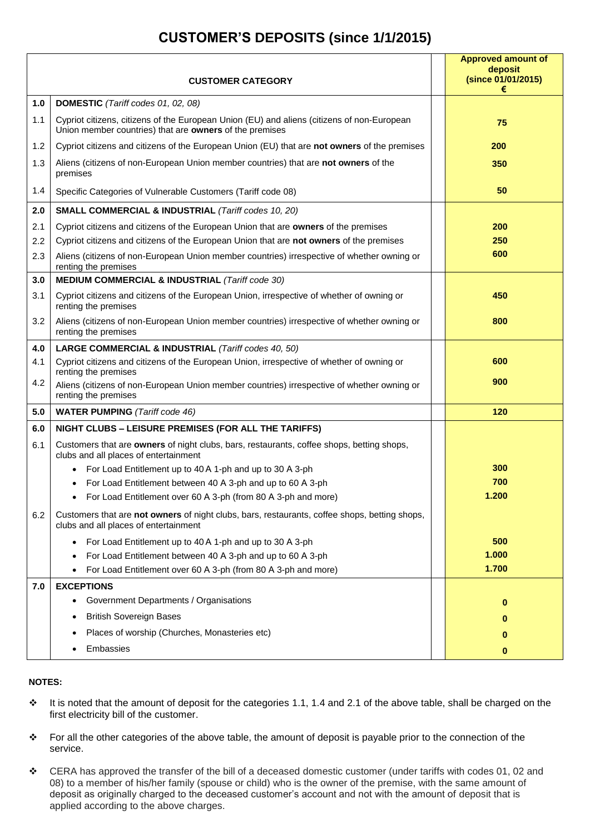## **CUSTOMER'S DEPOSITS (since 1/1/2015)**

|     |                                                                                                                                                       | <b>Approved amount of</b><br>deposit<br>(since 01/01/2015) |
|-----|-------------------------------------------------------------------------------------------------------------------------------------------------------|------------------------------------------------------------|
|     | <b>CUSTOMER CATEGORY</b>                                                                                                                              | €                                                          |
| 1.0 | DOMESTIC (Tariff codes 01, 02, 08)                                                                                                                    |                                                            |
| 1.1 | Cypriot citizens, citizens of the European Union (EU) and aliens (citizens of non-European<br>Union member countries) that are owners of the premises | 75                                                         |
| 1.2 | Cypriot citizens and citizens of the European Union (EU) that are not owners of the premises                                                          | 200                                                        |
| 1.3 | Aliens (citizens of non-European Union member countries) that are not owners of the<br>premises                                                       | 350                                                        |
| 1.4 | Specific Categories of Vulnerable Customers (Tariff code 08)                                                                                          | 50                                                         |
| 2.0 | SMALL COMMERCIAL & INDUSTRIAL (Tariff codes 10, 20)                                                                                                   |                                                            |
| 2.1 | Cypriot citizens and citizens of the European Union that are owners of the premises                                                                   | 200                                                        |
| 2.2 | Cypriot citizens and citizens of the European Union that are not owners of the premises                                                               | 250                                                        |
| 2.3 | Aliens (citizens of non-European Union member countries) irrespective of whether owning or<br>renting the premises                                    | 600                                                        |
| 3.0 | MEDIUM COMMERCIAL & INDUSTRIAL (Tariff code 30)                                                                                                       |                                                            |
| 3.1 | Cypriot citizens and citizens of the European Union, irrespective of whether of owning or<br>renting the premises                                     | 450                                                        |
| 3.2 | Aliens (citizens of non-European Union member countries) irrespective of whether owning or<br>renting the premises                                    | 800                                                        |
| 4.0 | LARGE COMMERCIAL & INDUSTRIAL (Tariff codes 40, 50)                                                                                                   |                                                            |
| 4.1 | Cypriot citizens and citizens of the European Union, irrespective of whether of owning or<br>renting the premises                                     | 600                                                        |
| 4.2 | Aliens (citizens of non-European Union member countries) irrespective of whether owning or<br>renting the premises                                    | 900                                                        |
| 5.0 | <b>WATER PUMPING</b> (Tariff code 46)                                                                                                                 | 120                                                        |
| 6.0 | NIGHT CLUBS - LEISURE PREMISES (FOR ALL THE TARIFFS)                                                                                                  |                                                            |
| 6.1 | Customers that are owners of night clubs, bars, restaurants, coffee shops, betting shops,<br>clubs and all places of entertainment                    |                                                            |
|     | For Load Entitlement up to 40 A 1-ph and up to 30 A 3-ph                                                                                              | 300                                                        |
|     | For Load Entitlement between 40 A 3-ph and up to 60 A 3-ph                                                                                            | 700                                                        |
|     | For Load Entitlement over 60 A 3-ph (from 80 A 3-ph and more)                                                                                         | 1.200                                                      |
| 6.2 | Customers that are not owners of night clubs, bars, restaurants, coffee shops, betting shops,<br>clubs and all places of entertainment                |                                                            |
|     | For Load Entitlement up to 40 A 1-ph and up to 30 A 3-ph<br>$\bullet$                                                                                 | 500                                                        |
|     | For Load Entitlement between 40 A 3-ph and up to 60 A 3-ph                                                                                            | 1.000                                                      |
|     | For Load Entitlement over 60 A 3-ph (from 80 A 3-ph and more)                                                                                         | 1.700                                                      |
| 7.0 | <b>EXCEPTIONS</b>                                                                                                                                     |                                                            |
|     | Government Departments / Organisations                                                                                                                | 0                                                          |
|     | <b>British Sovereign Bases</b>                                                                                                                        | 0                                                          |
|     | Places of worship (Churches, Monasteries etc)                                                                                                         | 0                                                          |
|     | Embassies                                                                                                                                             | 0                                                          |

## **NOTES:**

- It is noted that the amount of deposit for the categories 1.1, 1.4 and 2.1 of the above table, shall be charged on the first electricity bill of the customer.
- \* For all the other categories of the above table, the amount of deposit is payable prior to the connection of the service.
- \* CERA has approved the transfer of the bill of a deceased domestic customer (under tariffs with codes 01, 02 and 08) to a member of his/her family (spouse or child) who is the owner of the premise, with the same amount of deposit as originally charged to the deceased customer's account and not with the amount of deposit that is applied according to the above charges.